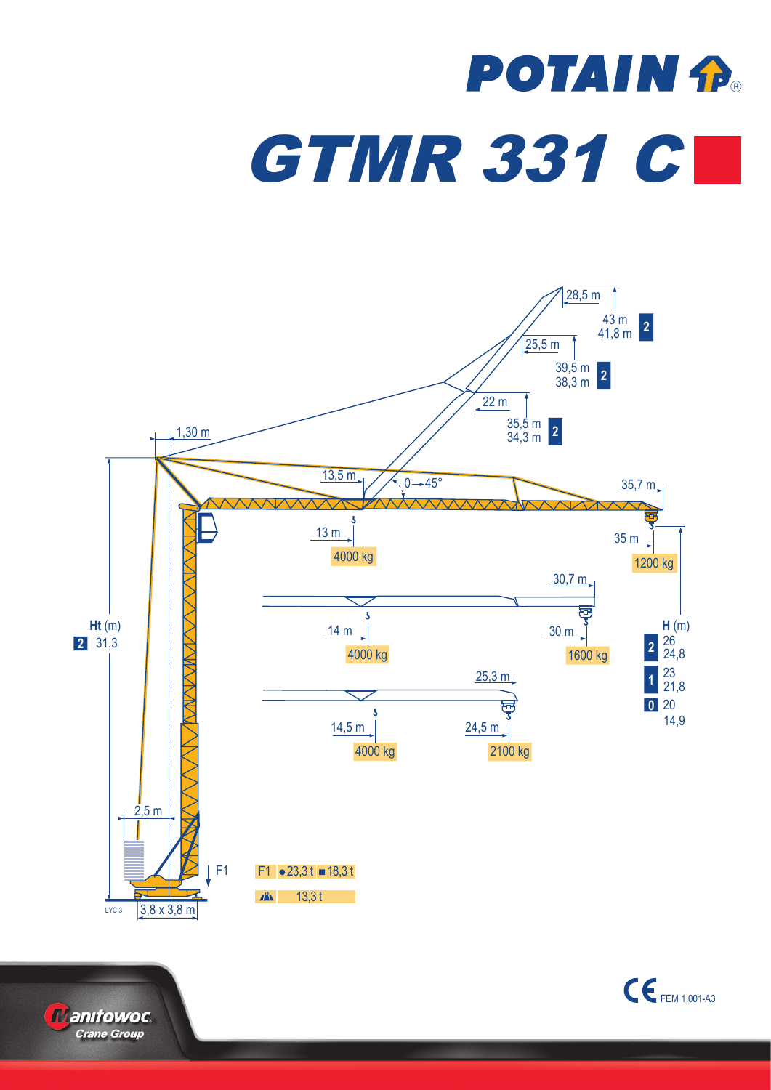## **POTAIN P. GTMR 331 C**





**Manifowoc Crane Group**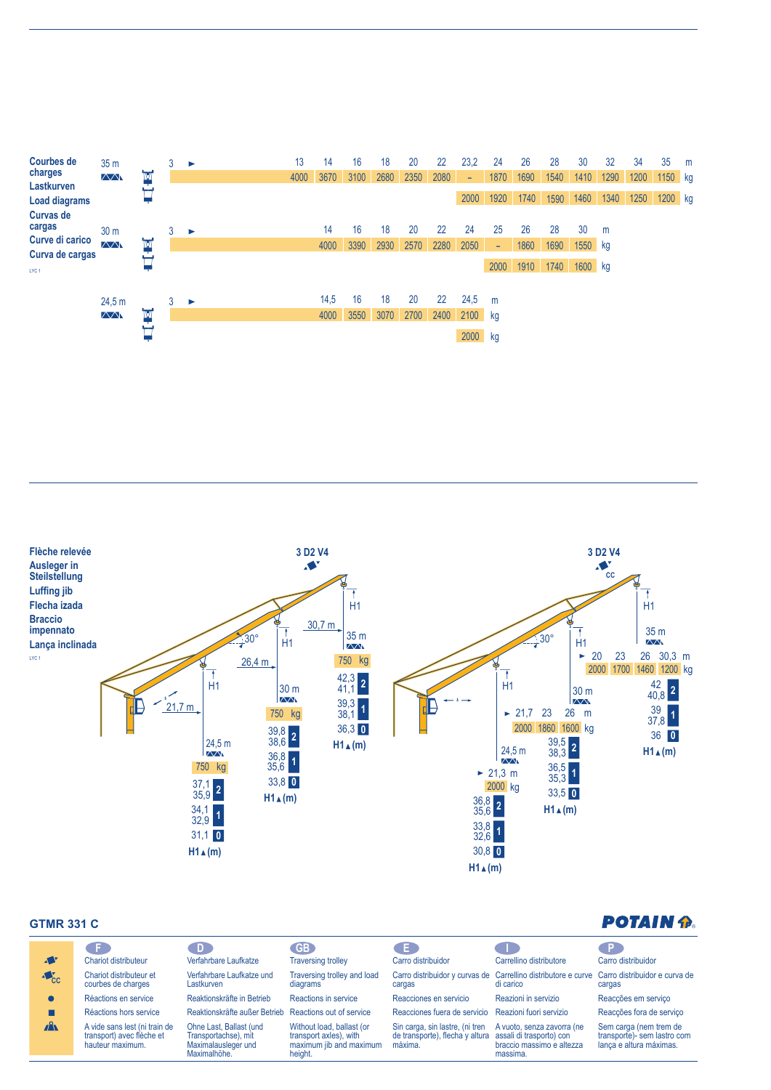| <b>Courbes de</b><br>charges<br>Lastkurven<br><b>Load diagrams</b>                   | 35 <sub>m</sub><br>$\wedge\wedge$ | ĪМ | 3 | ▶ | 13<br>4000 | 14<br>3670   | 16<br>3100 | 18<br>2680 | 20<br>2350 | 22<br>2080 | 23,2<br>$\overline{\phantom{a}}$<br>2000 | 24<br>1870<br>1920 | 26<br>1690<br>1740 | 28<br>1540<br>1590 | 30<br>1410<br>1460         | 32<br>1290<br>1340 | 34<br>1200<br>1250 | 35<br>1150 kg<br>1200 kg | m |
|--------------------------------------------------------------------------------------|-----------------------------------|----|---|---|------------|--------------|------------|------------|------------|------------|------------------------------------------|--------------------|--------------------|--------------------|----------------------------|--------------------|--------------------|--------------------------|---|
| <b>Curvas de</b><br>cargas<br>Curve di carico<br>Curva de cargas<br>LYC <sub>1</sub> | 30 <sub>m</sub><br>$\sqrt{N}$     | ĪМ | 3 | ▸ |            | 14<br>4000   | 16<br>3390 | 18<br>2930 | 20<br>2570 | 22<br>2280 | 24<br>2050                               | 25<br>÷<br>2000    | 26<br>1860<br>1910 | 28<br>1690<br>1740 | 30<br>$1550$ kg<br>1600 kg | m                  |                    |                          |   |
|                                                                                      | 24.5 m<br>$\wedge\wedge$          | ĪМ | 3 | ▶ |            | 14,5<br>4000 | 16<br>3550 | 18<br>3070 | 20<br>2700 | 22<br>2400 | 24,5<br>2100 kg<br>2000 kg               | m                  |                    |                    |                            |                    |                    |                          |   |



## **GTMR 331 C**

| <b>GTMR 331 C</b>         |                                                                                |                                                                                        |                                                                                           |                                                                               |                                                                                                 | <b>POTAIN P</b>                                                                  |
|---------------------------|--------------------------------------------------------------------------------|----------------------------------------------------------------------------------------|-------------------------------------------------------------------------------------------|-------------------------------------------------------------------------------|-------------------------------------------------------------------------------------------------|----------------------------------------------------------------------------------|
| <b>A</b>                  | Chariot distributeur                                                           | D.<br>Verfahrbare Laufkatze                                                            | <b>GB</b><br><b>Traversing trolley</b>                                                    | Œ<br>Carro distribuidor                                                       | Carrellino distributore                                                                         | P.<br>Carro distribuidor                                                         |
| $\triangle$ <sub>CC</sub> | Chariot distributeur et<br>courbes de charges                                  | Verfahrbare Laufkatze und<br>Lastkurven                                                | Traversing trolley and load<br>diagrams                                                   | Carro distribuidor y curvas de<br>cargas                                      | Carrellino distributore e curve<br>di carico                                                    | Carro distribuidor e curva de<br>cargas                                          |
|                           | Réactions en service                                                           | Reaktionskräfte in Betrieb                                                             | Reactions in service                                                                      | Reacciones en servicio                                                        | Reazioni in servizio                                                                            | Reacções em serviço                                                              |
|                           | Réactions hors service                                                         | Reaktionskräfte außer Betrieb                                                          | Reactions out of service                                                                  | Reacciones fuera de servicio                                                  | Reazioni fuori servizio                                                                         | Reacções fora de serviço                                                         |
| $\mathbf{A}$              | A vide sans lest (ni train de<br>transport) avec flèche et<br>hauteur maximum. | Ohne Last, Ballast (und<br>Transportachse), mit<br>Maximalausleger und<br>Maximalhöhe. | Without load, ballast (or<br>transport axles), with<br>maximum jib and maximum<br>height. | Sin carga, sin lastre, (ni tren<br>de transporte), flecha y altura<br>máxima. | A vuoto, senza zavorra (ne<br>assali di trasporto) con<br>braccio massimo e altezza<br>massima. | Sem carga (nem trem de<br>transporte)- sem lastro com<br>lança e altura máximas. |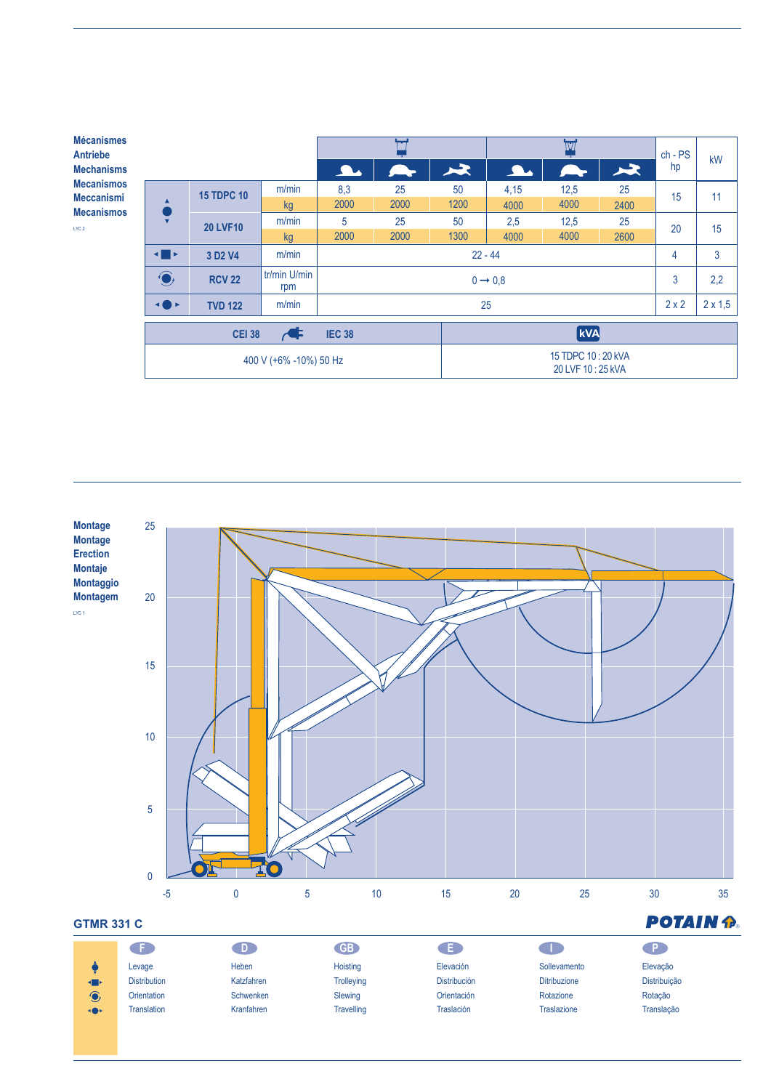| <b>Mécanismes</b><br><b>Antriebe</b>                                             |                                                                             |                                 |                        |                     |              |                |                                       | $ch - PS$     | kW   |    |     |  |  |
|----------------------------------------------------------------------------------|-----------------------------------------------------------------------------|---------------------------------|------------------------|---------------------|--------------|----------------|---------------------------------------|---------------|------|----|-----|--|--|
| <b>Mechanisms</b><br><b>Mecanismos</b><br><b>Meccanismi</b><br><b>Mecanismos</b> |                                                                             |                                 |                        | <b>A</b>            |              | 尽              | <b>A</b>                              | $\rightarrow$ | 又    | hp |     |  |  |
|                                                                                  | $\mathbf{v}$                                                                | <b>15 TDPC 10</b>               | m/min                  | 8,3                 | 25           | 50             | 4,15                                  | 12,5          | 25   | 15 | 11  |  |  |
|                                                                                  |                                                                             |                                 | kg                     | 2000                | 2000         | 1200           | 4000                                  | 4000          | 2400 |    |     |  |  |
| LYC <sub>2</sub>                                                                 |                                                                             | <b>20 LVF10</b>                 | m/min                  | 5                   | 25           | 50             | 2,5                                   | 12,5          | 25   | 20 | 15  |  |  |
|                                                                                  |                                                                             |                                 | <b>kg</b>              | 2000                | 2000         | 1300           | 4000                                  | 4000          | 2600 |    |     |  |  |
|                                                                                  | $\blacksquare$                                                              | 3 D <sub>2</sub> V <sub>4</sub> | m/min                  |                     | 4            | 3              |                                       |               |      |    |     |  |  |
|                                                                                  | $\bigodot$                                                                  | <b>RCV 22</b>                   | tr/min U/min<br>rpm    | $0 \rightarrow 0.8$ |              |                |                                       |               |      |    | 2,2 |  |  |
|                                                                                  | m/min<br>$\blacktriangleleft \bullet \blacktriangleright$<br><b>TVD 122</b> |                                 |                        |                     | $2 \times 2$ | $2 \times 1,5$ |                                       |               |      |    |     |  |  |
|                                                                                  |                                                                             | <b>CEI 38</b>                   | $\blacktriangleleft$   | <b>IEC 38</b>       |              |                |                                       |               |      |    |     |  |  |
|                                                                                  |                                                                             |                                 | 400 V (+6% -10%) 50 Hz |                     |              |                | 15 TDPC 10:20 KVA<br>20 LVF 10:25 kVA |               |      |    |     |  |  |